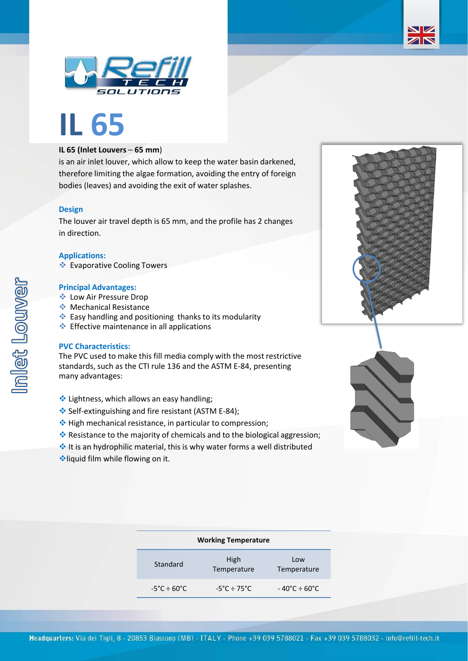



# **IL 65**

## **IL 65 (Inlet Louvers** – **65 mm**)

is an air inlet louver, which allow to keep the water basin darkened, therefore limiting the algae formation, avoiding the entry of foreign bodies (leaves) and avoiding the exit of water splashes.

#### **Design**

The louver air travel depth is 65 mm, and the profile has 2 changes in direction.

#### **Applications:**

❖ Evaporative Cooling Towers

#### **Principal Advantages:**

- ❖ Low Air Pressure Drop
- ❖ Mechanical Resistance
- ❖ Easy handling and positioning thanks to its modularity
- ❖ Effective maintenance in all applications

#### **PVC Characteristics:**

The PVC used to make this fill media comply with the most restrictive standards, such as the CTI rule 136 and the ASTM E-84, presenting many advantages:

- ❖ Lightness, which allows an easy handling;
- ❖ Self-extinguishing and fire resistant (ASTM E-84);
- ❖ High mechanical resistance, in particular to compression;
- ❖ Resistance to the majority of chemicals and to the biological aggression;
- ❖ It is an hydrophilic material, this is why water forms a well distributed
- ❖liquid film while flowing on it.

| <b>Working Temperature</b>       |                                  |                                   |  |  |  |  |
|----------------------------------|----------------------------------|-----------------------------------|--|--|--|--|
| Standard                         | High<br>Temperature              | Low<br>Temperature                |  |  |  |  |
| $-5^{\circ}$ C ÷ 60 $^{\circ}$ C | $-5^{\circ}$ C ÷ 75 $^{\circ}$ C | $-40^{\circ}$ C ÷ 60 $^{\circ}$ C |  |  |  |  |